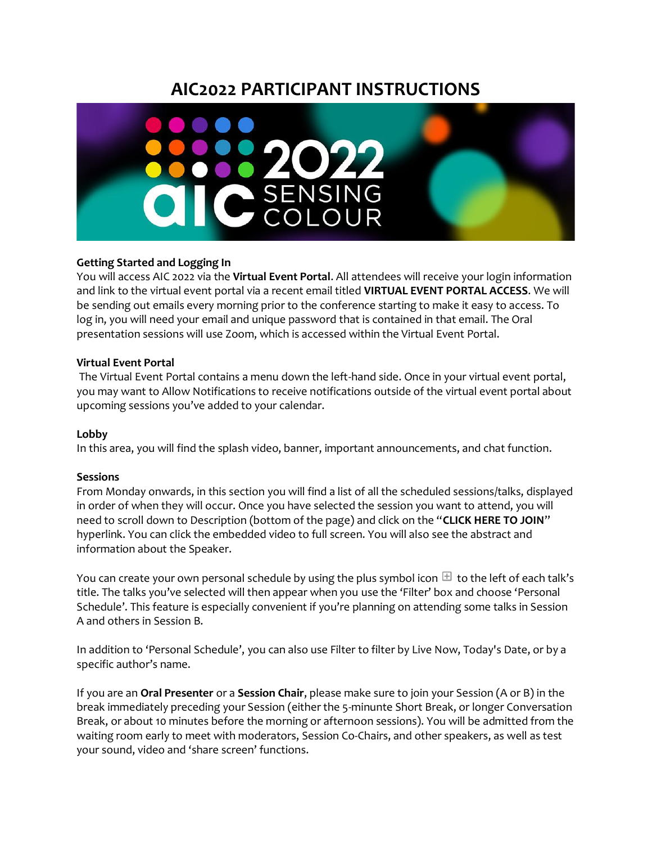# **AIC2022 PARTICIPANT INSTRUCTIONS**



## **Getting Started and Logging In**

You will access AIC 2022 via the **Virtual Event Portal**. All attendees will receive your login information and link to the virtual event portal via a recent email titled **VIRTUAL EVENT PORTAL ACCESS**. We will be sending out emails every morning prior to the conference starting to make it easy to access. To log in, you will need your email and unique password that is contained in that email. The Oral presentation sessions will use Zoom, which is accessed within the Virtual Event Portal.

### **Virtual Event Portal**

The Virtual Event Portal contains a menu down the left-hand side. Once in your virtual event portal, you may want to Allow Notifications to receive notifications outside of the virtual event portal about upcoming sessions you've added to your calendar.

### **Lobby**

In this area, you will find the splash video, banner, important announcements, and chat function.

### **Sessions**

From Monday onwards, in this section you will find a list of all the scheduled sessions/talks, displayed in order of when they will occur. Once you have selected the session you want to attend, you will need to scroll down to Description (bottom of the page) and click on the "**CLICK HERE TO JOIN**" hyperlink. You can click the embedded video to full screen. You will also see the abstract and information about the Speaker.

You can create your own personal schedule by using the plus symbol icon  $\pm$  to the left of each talk's title. The talks you've selected will then appear when you use the 'Filter' box and choose 'Personal Schedule'. This feature is especially convenient if you're planning on attending some talks in Session A and others in Session B.

In addition to 'Personal Schedule', you can also use Filter to filter by Live Now, Today's Date, or by a specific author's name.

If you are an **Oral Presenter** or a **Session Chair**, please make sure to join your Session (A or B) in the break immediately preceding your Session (either the 5-minunte Short Break, or longer Conversation Break, or about 10 minutes before the morning or afternoon sessions). You will be admitted from the waiting room early to meet with moderators, Session Co-Chairs, and other speakers, as well as test your sound, video and 'share screen' functions.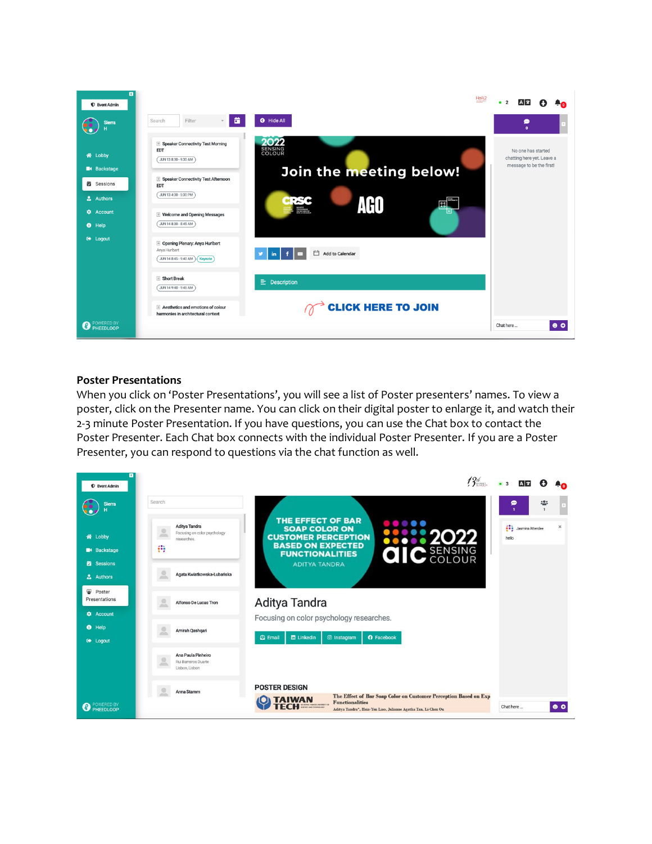

### **Poster Presentations**

When you click on 'Poster Presentations', you will see a list of Poster presenters' names. To view a poster, click on the Presenter name. You can click on their digital poster to enlarge it, and watch their 2-3 minute Poster Presentation. If you have questions, you can use the Chat box to contact the Poster Presenter. Each Chat box connects with the individual Poster Presenter. If you are a Poster Presenter, you can respond to questions via the chat function as well.